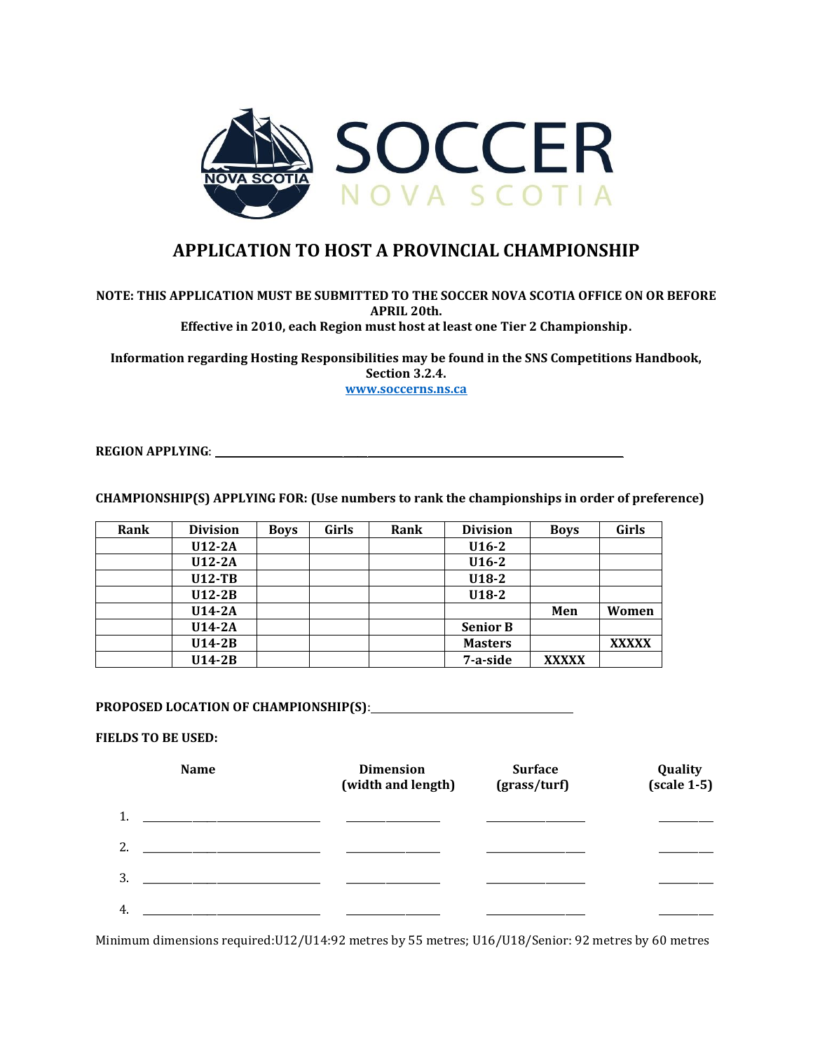

## **APPLICATION TO HOST A PROVINCIAL CHAMPIONSHIP**

## **NOTE: THIS APPLICATION MUST BE SUBMITTED TO THE SOCCER NOVA SCOTIA OFFICE ON OR BEFORE APRIL 20th.**

**Effective in 2010, each Region must host at least one Tier 2 Championship.** 

**Information regarding Hosting Responsibilities may be found in the SNS Competitions Handbook, Section 3.2.4.** 

**[www.soccerns.ns.ca](http://www.soccerns.ns.ca/)**

**REGION APPLYING**: \_\_\_\_\_\_\_\_\_\_\_\_\_\_\_\_\_\_\_\_\_\_\_\_\_\_\_\_\_\_\_\_\_\_\_\_\_\_\_\_\_\_\_\_\_\_\_\_\_\_\_\_\_\_\_\_\_\_\_\_\_\_\_\_\_\_\_\_\_\_\_\_\_\_\_\_\_\_\_\_\_\_\_

**CHAMPIONSHIP(S) APPLYING FOR: (Use numbers to rank the championships in order of preference)** 

| Rank | <b>Division</b> | <b>Boys</b> | Girls | Rank | <b>Division</b> | <b>Boys</b>  | Girls        |
|------|-----------------|-------------|-------|------|-----------------|--------------|--------------|
|      | <b>U12-2A</b>   |             |       |      | $U16-2$         |              |              |
|      | <b>U12-2A</b>   |             |       |      | $U16-2$         |              |              |
|      | <b>U12-TB</b>   |             |       |      | $U18-2$         |              |              |
|      | $U12-2B$        |             |       |      | $U18-2$         |              |              |
|      | $U14-2A$        |             |       |      |                 | Men          | Women        |
|      | $U14-2A$        |             |       |      | <b>Senior B</b> |              |              |
|      | $U14-2B$        |             |       |      | <b>Masters</b>  |              | <b>XXXXX</b> |
|      | $U14-2B$        |             |       |      | 7-a-side        | <b>XXXXX</b> |              |

**PROPOSED LOCATION OF CHAMPIONSHIP(S)**:

## **FIELDS TO BE USED:**

|    | <b>Name</b>                                                     | <b>Dimension</b><br>(width and length) | <b>Surface</b><br>(grass/turf) | Quality<br>$(scale 1-5)$ |
|----|-----------------------------------------------------------------|----------------------------------------|--------------------------------|--------------------------|
| 1. |                                                                 |                                        |                                |                          |
| 2. |                                                                 |                                        |                                |                          |
| 3. | the control of the control of the control of the control of the |                                        |                                |                          |
| 4. |                                                                 |                                        |                                |                          |

Minimum dimensions required:U12/U14:92 metres by 55 metres; U16/U18/Senior: 92 metres by 60 metres